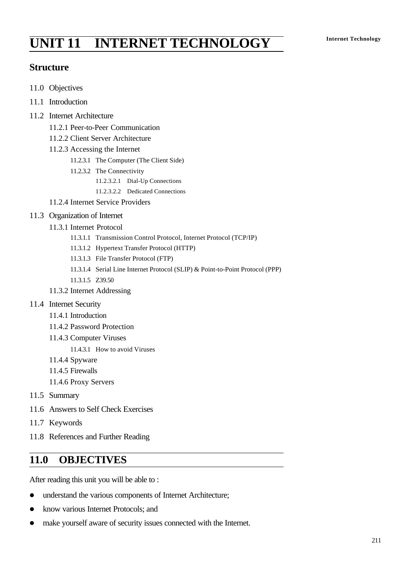# **Internet Technology UNIT 11 INTERNET TECHNOLOGY**

### **Structure**

- 11.0 Objectives
- 11.1 Introduction
- 11.2 Internet Architecture
	- 11.2.1 Peer-to-Peer Communication
	- 11.2.2 Client Server Architecture
	- 11.2.3 Accessing the Internet
		- 11.2.3.1 The Computer (The Client Side)
		- 11.2.3.2 The Connectivity
			- 11.2.3.2.1 Dial-Up Connections
			- 11.2.3.2.2 Dedicated Connections
	- 11.2.4 Internet Service Providers

### 11.3 Organization of Internet

- 11.3.1 Internet Protocol
	- 11.3.1.1 Transmission Control Protocol, Internet Protocol (TCP/IP)
	- 11.3.1.2 Hypertext Transfer Protocol (HTTP)
	- 11.3.1.3 File Transfer Protocol (FTP)
	- 11.3.1.4 Serial Line Internet Protocol (SLIP) & Point-to-Point Protocol (PPP)
	- 11.3.1.5 Z39.50
- 11.3.2 Internet Addressing

#### 11.4 Internet Security

- 11.4.1 Introduction
- 11.4.2 Password Protection
- 11.4.3 Computer Viruses
	- 11.4.3.1 How to avoid Viruses
- 11.4.4 Spyware
- 11.4.5 Firewalls
- 11.4.6 Proxy Servers
- 11.5 Summary
- 11.6 Answers to Self Check Exercises
- 11.7 Keywords
- 11.8 References and Further Reading

### **11.0 OBJECTIVES**

After reading this unit you will be able to :

- understand the various components of Internet Architecture;
- know various Internet Protocols; and
- make yourself aware of security issues connected with the Internet.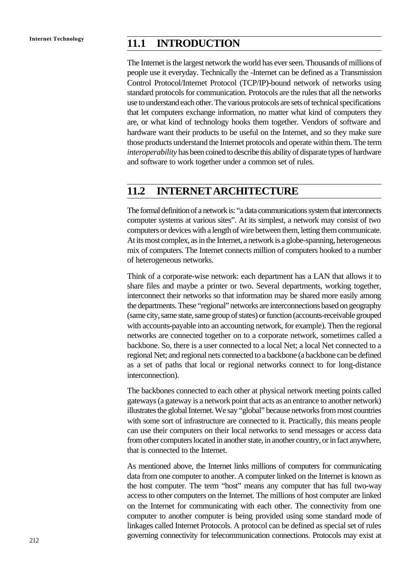# **Internet Technology 11.1 INTRODUCTION**

The Internet is the largest network the world has ever seen. Thousands of millions of people use it everyday. Technically the -Internet can be defined as a Transmission Control Protocol/Internet Protocol (TCP/IP)-bound network of networks using standard protocols for communication. Protocols are the rules that all the networks use to understand each other. The various protocols are sets of technical specifications that let computers exchange information, no matter what kind of computers they are, or what kind of technology hooks them together. Vendors of software and hardware want their products to be useful on the Internet, and so they make sure those products understand the Internet protocols and operate within them. The term *interoperability* has been coined to describe this ability of disparate types of hardware and software to work together under a common set of rules.

### **11.2 INTERNETARCHITECTURE**

The formal definition of a network is: "a data communications system that interconnects computer systems at various sites". At its simplest, a network may consist of two computers or devices with a length of wire between them, letting them communicate. At its most complex, as in the Internet, a network is a globe-spanning, heterogeneous mix of computers. The Internet connects million of computers hooked to a number of heterogeneous networks.

Think of a corporate-wise network: each department has a LAN that allows it to share files and maybe a printer or two. Several departments, working together, interconnect their networks so that information may be shared more easily among the departments. These "regional" networks are interconnections based on geography (same city, same state, same group of states) or function (accounts-receivable grouped with accounts-payable into an accounting network, for example). Then the regional networks are connected together on to a corporate network, sometimes called a backbone. So, there is a user connected to a local Net; a local Net connected to a regional Net; and regional nets connected to a backbone (a backbone can be defined as a set of paths that local or regional networks connect to for long-distance interconnection).

The backbones connected to each other at physical network meeting points called gateways (a gateway is a network point that acts as an entrance to another network) illustrates the global Internet. We say "global" because networks from most countries with some sort of infrastructure are connected to it. Practically, this means people can use their computers on their local networks to send messages or access data from other computers located in another state, in another country, or in fact anywhere, that is connected to the Internet.

As mentioned above, the Internet links millions of computers for communicating data from one computer to another. A computer linked on the Internet is known as the host computer. The term "host" means any computer that has full two-way access to other computers on the Internet. The millions of host computer are linked on the Internet for communicating with each other. The connectivity from one computer to another computer is being provided using some standard mode of linkages called Internet Protocols. A protocol can be defined as special set of rules governing connectivity for telecommunication connections. Protocols may exist at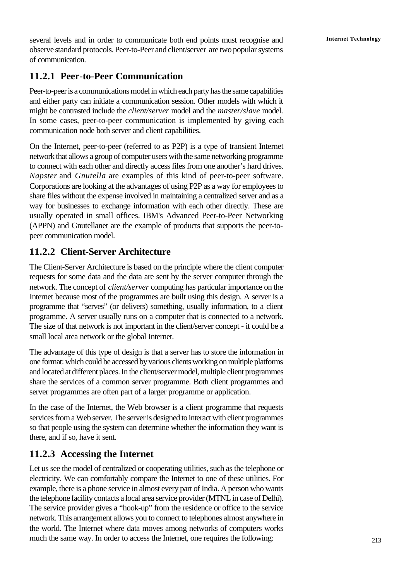**Internet Technology** several levels and in order to communicate both end points must recognise and observe standard protocols. Peer-to-Peer and client/server are two popular systems of communication.

### **11.2.1 Peer-to-Peer Communication**

Peer-to-peer is a communications model in which each party has the same capabilities and either party can initiate a communication session. Other models with which it might be contrasted include the *client/server* model and the *master/slave* model. In some cases, peer-to-peer communication is implemented by giving each communication node both server and client capabilities.

On the Internet, peer-to-peer (referred to as P2P) is a type of transient Internet network that allows a group of computer users with the same networking programme to connect with each other and directly access files from one another's hard drives. *Napster* and *Gnutella* are examples of this kind of peer-to-peer software. Corporations are looking at the advantages of using P2P as a way for employees to share files without the expense involved in maintaining a centralized server and as a way for businesses to exchange information with each other directly. These are usually operated in small offices. IBM's Advanced Peer-to-Peer Networking (APPN) and Gnutellanet are the example of products that supports the peer-topeer communication model.

### **11.2.2 Client-Server Architecture**

The Client-Server Architecture is based on the principle where the client computer requests for some data and the data are sent by the server computer through the network. The concept of *client/server* computing has particular importance on the Internet because most of the programmes are built using this design. A server is a programme that "serves" (or delivers) something, usually information, to a client programme. A server usually runs on a computer that is connected to a network. The size of that network is not important in the client/server concept - it could be a small local area network or the global Internet.

The advantage of this type of design is that a server has to store the information in one format: which could be accessed by various clients working on multiple platforms and located at different places. In the client/server model, multiple client programmes share the services of a common server programme. Both client programmes and server programmes are often part of a larger programme or application.

In the case of the Internet, the Web browser is a client programme that requests services from a Web server. The server is designed to interact with client programmes so that people using the system can determine whether the information they want is there, and if so, have it sent.

### **11.2.3 Accessing the Internet**

Let us see the model of centralized or cooperating utilities, such as the telephone or electricity. We can comfortably compare the Internet to one of these utilities. For example, there is a phone service in almost every part of India. A person who wants the telephone facility contacts a local area service provider (MTNL in case of Delhi). The service provider gives a "hook-up" from the residence or office to the service network. This arrangement allows you to connect to telephones almost anywhere in the world. The Internet where data moves among networks of computers works much the same way. In order to access the Internet, one requires the following: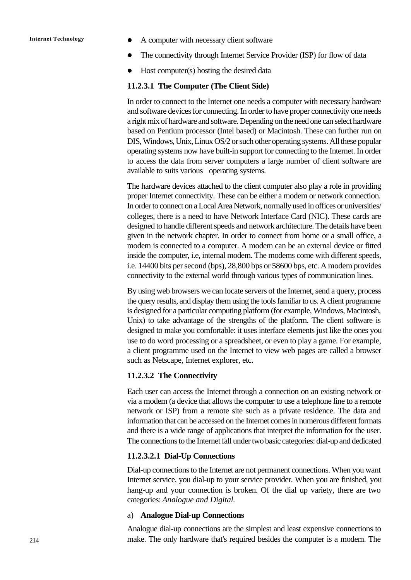- Internet Technology **a** A computer with necessary client software
	- The connectivity through Internet Service Provider (ISP) for flow of data
	- $\bullet$  Host computer(s) hosting the desired data

#### **11.2.3.1 The Computer (The Client Side)**

In order to connect to the Internet one needs a computer with necessary hardware and software devices for connecting. In order to have proper connectivity one needs a right mix of hardware and software. Depending on the need one can select hardware based on Pentium processor (Intel based) or Macintosh. These can further run on DIS, Windows, Unix, Linux OS/2 or such other operating systems. All these popular operating systems now have built-in support for connecting to the Internet. In order to access the data from server computers a large number of client software are available to suits various operating systems.

The hardware devices attached to the client computer also play a role in providing proper Internet connectivity. These can be either a modem or network connection. In order to connect on a Local Area Network, normally used in offices or universities/ colleges, there is a need to have Network Interface Card (NIC). These cards are designed to handle different speeds and network architecture. The details have been given in the network chapter. In order to connect from home or a small office, a modem is connected to a computer. A modem can be an external device or fitted inside the computer, i.e, internal modem. The modems come with different speeds, i.e. 14400 bits per second (bps), 28,800 bps or 58600 bps, etc. A modem provides connectivity to the external world through various types of communication lines.

By using web browsers we can locate servers of the Internet, send a query, process the query results, and display them using the tools familiar to us. A client programme is designed for a particular computing platform (for example, Windows, Macintosh, Unix) to take advantage of the strengths of the platform. The client software is designed to make you comfortable: it uses interface elements just like the ones you use to do word processing or a spreadsheet, or even to play a game. For example, a client programme used on the Internet to view web pages are called a browser such as Netscape, Internet explorer, etc.

#### **11.2.3.2 The Connectivity**

Each user can access the Internet through a connection on an existing network or via a modem (a device that allows the computer to use a telephone line to a remote network or ISP) from a remote site such as a private residence. The data and information that can be accessed on the Internet comes in numerous different formats and there is a wide range of applications that interpret the information for the user. The connections to the Internet fall under two basic categories: dial-up and dedicated

#### **11.2.3.2.1 Dial-Up Connections**

Dial-up connections to the Internet are not permanent connections. When you want Internet service, you dial-up to your service provider. When you are finished, you hang-up and your connection is broken. Of the dial up variety, there are two categories: *Analogue and Digital.*

#### a) **Analogue Dial-up Connections**

Analogue dial-up connections are the simplest and least expensive connections to make. The only hardware that's required besides the computer is a modem. The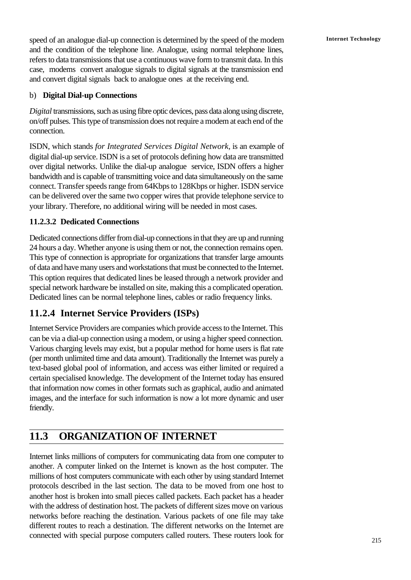**Internet Technology** speed of an analogue dial-up connection is determined by the speed of the modem and the condition of the telephone line. Analogue, using normal telephone lines, refers to data transmissions that use a continuous wave form to transmit data. In this case, modems convert analogue signals to digital signals at the transmission end and convert digital signals back to analogue ones at the receiving end.

### b) **Digital Dial-up Connections**

*Digital* transmissions, such as using fibre optic devices, pass data along using discrete, on/off pulses. This type of transmission does not require a modem at each end of the connection.

ISDN, which stands *for Integrated Services Digital Network,* is an example of digital dial-up service. ISDN is a set of protocols defining how data are transmitted over digital networks. Unlike the dial-up analogue service, ISDN offers a higher bandwidth and is capable of transmitting voice and data simultaneously on the same connect. Transfer speeds range from 64Kbps to 128Kbps or higher. ISDN service can be delivered over the same two copper wires that provide telephone service to your library. Therefore, no additional wiring will be needed in most cases.

### **11.2.3.2 Dedicated Connections**

Dedicated connections differ from dial-up connections in that they are up and running 24 hours a day. Whether anyone is using them or not, the connection remains open. This type of connection is appropriate for organizations that transfer large amounts of data and have many users and workstations that must be connected to the Internet. This option requires that dedicated lines be leased through a network provider and special network hardware be installed on site, making this a complicated operation. Dedicated lines can be normal telephone lines, cables or radio frequency links.

### **11.2.4 Internet Service Providers (ISPs)**

Internet Service Providers are companies which provide access to the Internet. This can be via a dial-up connection using a modem, or using a higher speed connection. Various charging levels may exist, but a popular method for home users is flat rate (per month unlimited time and data amount). Traditionally the Internet was purely a text-based global pool of information, and access was either limited or required a certain specialised knowledge. The development of the Internet today has ensured that information now comes in other formats such as graphical, audio and animated images, and the interface for such information is now a lot more dynamic and user friendly.

# **11.3 ORGANIZATION OF INTERNET**

Internet links millions of computers for communicating data from one computer to another. A computer linked on the Internet is known as the host computer. The millions of host computers communicate with each other by using standard Internet protocols described in the last section. The data to be moved from one host to another host is broken into small pieces called packets. Each packet has a header with the address of destination host. The packets of different sizes move on various networks before reaching the destination. Various packets of one file may take different routes to reach a destination. The different networks on the Internet are connected with special purpose computers called routers. These routers look for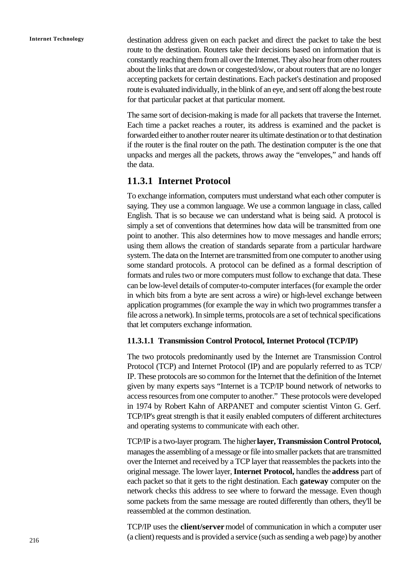**Internet Technology** destination address given on each packet and direct the packet to take the best route to the destination. Routers take their decisions based on information that is constantly reaching them from all over the Internet. They also hear from other routers about the links that are down or congested/slow, or about routers that are no longer accepting packets for certain destinations. Each packet's destination and proposed route is evaluated individually, in the blink of an eye, and sent off along the best route for that particular packet at that particular moment.

> The same sort of decision-making is made for all packets that traverse the Internet. Each time a packet reaches a router, its address is examined and the packet is forwarded either to another router nearer its ultimate destination or to that destination if the router is the final router on the path. The destination computer is the one that unpacks and merges all the packets, throws away the "envelopes," and hands off the data.

### **11.3.1 Internet Protocol**

To exchange information, computers must understand what each other computer is saying. They use a common language. We use a common language in class, called English. That is so because we can understand what is being said. A protocol is simply a set of conventions that determines how data will be transmitted from one point to another. This also determines how to move messages and handle errors; using them allows the creation of standards separate from a particular hardware system. The data on the Internet are transmitted from one computer to another using some standard protocols. A protocol can be defined as a formal description of formats and rules two or more computers must follow to exchange that data. These can be low-level details of computer-to-computer interfaces (for example the order in which bits from a byte are sent across a wire) or high-level exchange between application programmes (for example the way in which two programmes transfer a file across a network). In simple terms, protocols are a set of technical specifications that let computers exchange information.

#### **11.3.1.1 Transmission Control Protocol, Internet Protocol (TCP/IP)**

The two protocols predominantly used by the Internet are Transmission Control Protocol (TCP) and Internet Protocol (IP) and are popularly referred to as TCP/ IP. These protocols are so common for the Internet that the definition of the Internet given by many experts says "Internet is a TCP/IP bound network of networks to access resources from one computer to another." These protocols were developed in 1974 by Robert Kahn of ARPANET and computer scientist Vinton G. Gerf. TCP/IP's great strength is that it easily enabled computers of different architectures and operating systems to communicate with each other.

TCP/IP is a two-layer program. The higher **layer, Transmission Control Protocol,** manages the assembling of a message or file into smaller packets that are transmitted over the Internet and received by a TCP layer that reassembles the packets into the original message. The lower layer, **Internet Protocol,** handles the **address** part of each packet so that it gets to the right destination. Each **gateway** computer on the network checks this address to see where to forward the message. Even though some packets from the same message are routed differently than others, they'll be reassembled at the common destination.

TCP/IP uses the **client/server** model of communication in which a computer user (a client) requests and is provided a service (such as sending a web page) by another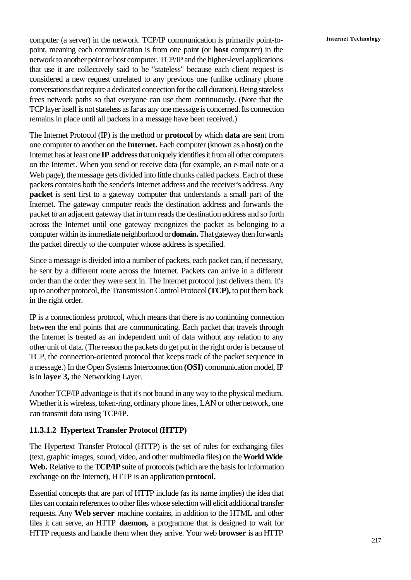**Internet Technology** computer (a server) in the network. TCP/IP communication is primarily point-topoint, meaning each communication is from one point (or **host** computer) in the network to another point or host computer. TCP/IP and the higher-level applications that use it are collectively said to be "stateless" because each client request is considered a new request unrelated to any previous one (unlike ordinary phone conversations that require a dedicated connection for the call duration). Being stateless frees network paths so that everyone can use them continuously. (Note that the TCP layer itself is not stateless as far as any one message is concerned. Its connection remains in place until all packets in a message have been received.)

The Internet Protocol (IP) is the method or **protocol** by which **data** are sent from one computer to another on the **Internet.** Each computer (known as a **host)** on the Internet has at least one **IP address** that uniquely identifies it from all other computers on the Internet. When you send or receive data (for example, an e-mail note or a Web page), the message gets divided into little chunks called packets. Each of these packets contains both the sender's Internet address and the receiver's address. Any **packet** is sent first to a gateway computer that understands a small part of the Internet. The gateway computer reads the destination address and forwards the packet to an adjacent gateway that in turn reads the destination address and so forth across the Internet until one gateway recognizes the packet as belonging to a computer within its immediate neighborhood or **domain.** That gateway then forwards the packet directly to the computer whose address is specified.

Since a message is divided into a number of packets, each packet can, if necessary, be sent by a different route across the Internet. Packets can arrive in a different order than the order they were sent in. The Internet protocol just delivers them. It's up to another protocol, the Transmission Control Protocol **(TCP),** to put them back in the right order.

IP is a connectionless protocol, which means that there is no continuing connection between the end points that are communicating. Each packet that travels through the Internet is treated as an independent unit of data without any relation to any other unit of data. (The reason the packets do get put in the right order is because of TCP, the connection-oriented protocol that keeps track of the packet sequence in a message.) In the Open Systems Interconnection **(OSI)** communication model, IP is in **layer 3,** the Networking Layer.

Another TCP/IP advantage is that it's not bound in any way to the physical medium. Whether it is wireless, token-ring, ordinary phone lines, LAN or other network, one can transmit data using TCP/IP.

### **11.3.1.2 Hypertext Transfer Protocol (HTTP)**

The Hypertext Transfer Protocol (HTTP) is the set of rules for exchanging files (text, graphic images, sound, video, and other multimedia files) on the **World Wide Web.** Relative to the **TCP/IP** suite of protocols (which are the basis for information exchange on the Internet), HTTP is an application **protocol.**

Essential concepts that are part of HTTP include (as its name implies) the idea that files can contain references to other files whose selection will elicit additional transfer requests. Any **Web server** machine contains, in addition to the HTML and other files it can serve, an HTTP **daemon,** a programme that is designed to wait for HTTP requests and handle them when they arrive. Your web **browser** is an HTTP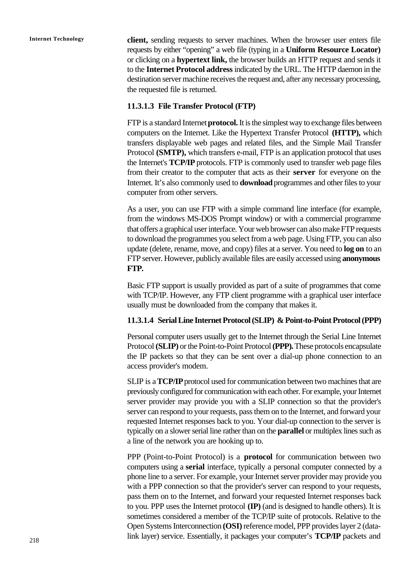**Internet Technology client,** sending requests to server machines. When the browser user enters file requests by either "opening" a web file (typing in a **Uniform Resource Locator)** or clicking on a **hypertext link,** the browser builds an HTTP request and sends it to the **Internet Protocol address** indicated by the URL. The HTTP daemon in the destination server machine receives the request and, after any necessary processing, the requested file is returned.

#### **11.3.1.3 File Transfer Protocol (FTP)**

FTP is a standard Internet **protocol.** It is the simplest way to exchange files between computers on the Internet. Like the Hypertext Transfer Protocol **(HTTP),** which transfers displayable web pages and related files, and the Simple Mail Transfer Protocol **(SMTP),** which transfers e-mail, FTP is an application protocol that uses the Internet's **TCP/IP** protocols. FTP is commonly used to transfer web page files from their creator to the computer that acts as their **server** for everyone on the Internet. It's also commonly used to **download** programmes and other files to your computer from other servers.

As a user, you can use FTP with a simple command line interface (for example, from the windows MS-DOS Prompt window) or with a commercial programme that offers a graphical user interface. Your web browser can also make FTP requests to download the programmes you select from a web page. Using FTP, you can also update (delete, rename, move, and copy) files at a server. You need to **log on** to an FTP server. However, publicly available files are easily accessed using **anonymous FTP.**

Basic FTP support is usually provided as part of a suite of programmes that come with TCP/IP. However, any FTP client programme with a graphical user interface usually must be downloaded from the company that makes it.

#### **11.3.1.4 Serial Line Internet Protocol (SLIP) & Point-to-Point Protocol (PPP)**

Personal computer users usually get to the Internet through the Serial Line Internet Protocol **(SLIP)** or the Point-to-Point Protocol **(PPP).** These protocols encapsulate the IP packets so that they can be sent over a dial-up phone connection to an access provider's modem.

SLIP is a **TCP/IP** protocol used for communication between two machines that are previously configured for communication with each other. For example, your Internet server provider may provide you with a SLIP connection so that the provider's server can respond to your requests, pass them on to the Internet, and forward your requested Internet responses back to you. Your dial-up connection to the server is typically on a slower serial line rather than on the **parallel** or multiplex lines such as a line of the network you are hooking up to.

PPP (Point-to-Point Protocol) is a **protocol** for communication between two computers using a **serial** interface, typically a personal computer connected by a phone line to a server. For example, your Internet server provider may provide you with a PPP connection so that the provider's server can respond to your requests, pass them on to the Internet, and forward your requested Internet responses back to you. PPP uses the Internet protocol **(IP)** (and is designed to handle others). It is sometimes considered a member of the TCP/IP suite of protocols. Relative to the Open Systems Interconnection **(OSI)** reference model, PPP provides layer 2 (datalink layer) service. Essentially, it packages your computer's **TCP/IP** packets and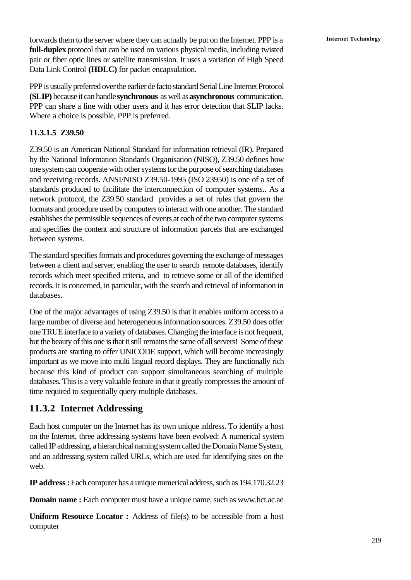**Internet Technology** forwards them to the server where they can actually be put on the Internet. PPP is a **full-duplex** protocol that can be used on various physical media, including twisted pair or fiber optic lines or satellite transmission. It uses a variation of High Speed Data Link Control **(HDLC)** for packet encapsulation.

PPP is usually preferred over the earlier de facto standard Serial Line Internet Protocol **(SLIP)** because it can handle **synchronous** as well as **asynchronous** communication. PPP can share a line with other users and it has error detection that SLIP lacks. Where a choice is possible, PPP is preferred.

### **11.3.1.5 Z39.50**

Z39.50 is an American National Standard for information retrieval (IR). Prepared by the National Information Standards Organisation (NISO), Z39.50 defines how one system can cooperate with other systems for the purpose of searching databases and receiving records. ANSI/NISO Z39.50-1995 (ISO 23950) is one of a set of standards produced to facilitate the interconnection of computer systems.. As a network protocol, the Z39.50 standard provides a set of rules that govern the formats and procedure used by computers to interact with one another. The standard establishes the permissible sequences of events at each of the two computer systems and specifies the content and structure of information parcels that are exchanged between systems.

The standard specifies formats and procedures governing the exchange of messages between a client and server, enabling the user to search remote databases, identify records which meet specified criteria, and to retrieve some or all of the identified records. It is concerned, in particular, with the search and retrieval of information in databases.

One of the major advantages of using Z39.50 is that it enables uniform access to a large number of diverse and heterogeneous information sources. Z39.50 does offer one TRUE interface to a variety of databases. Changing the interface is not frequent, but the beauty of this one is that it still remains the same of all servers! Some of these products are starting to offer UNICODE support, which will become increasingly important as we move into multi lingual record displays. They are functionally rich because this kind of product can support simultaneous searching of multiple databases. This is a very valuable feature in that it greatly compresses the amount of time required to sequentially query multiple databases.

### **11.3.2 Internet Addressing**

Each host computer on the Internet has its own unique address. To identify a host on the Internet, three addressing systems have been evolved: A numerical system called IP addressing, a hierarchical naming system called the Domain Name System, and an addressing system called URLs, which are used for identifying sites on the web.

**IP address :** Each computer has a unique numerical address, such as 194.170.32.23

**Domain name :** Each computer must have a unique name, such as www.hct.ac.ae

**Uniform Resource Locator :** Address of file(s) to be accessible from a host computer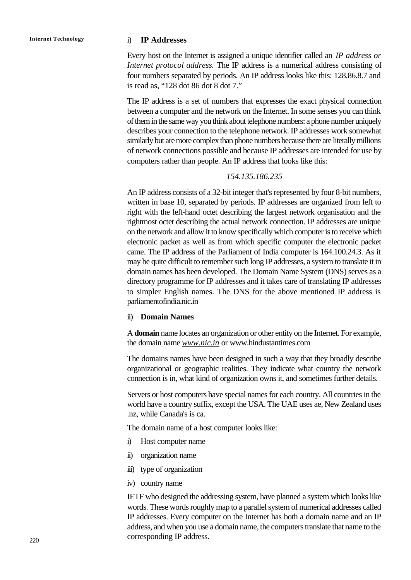#### **Internet Technology** i) **IP Addresses**

Every host on the Internet is assigned a unique identifier called an *IP address or Internet protocol address.* The IP address is a numerical address consisting of four numbers separated by periods. An IP address looks like this: 128.86.8.7 and is read as, "128 dot 86 dot 8 dot 7."

The IP address is a set of numbers that expresses the exact physical connection between a computer and the network on the Internet. In some senses you can think of them in the same way you think about telephone numbers: a phone number uniquely describes your connection to the telephone network. IP addresses work somewhat similarly but are more complex than phone numbers because there are literally millions of network connections possible and because IP addresses are intended for use by computers rather than people. An IP address that looks like this:

#### *154.135.186.235*

An IP address consists of a 32-bit integer that's represented by four 8-bit numbers, written in base 10, separated by periods. IP addresses are organized from left to right with the left-hand octet describing the largest network organisation and the rightmost octet describing the actual network connection. IP addresses are unique on the network and allow it to know specifically which computer is to receive which electronic packet as well as from which specific computer the electronic packet came. The IP address of the Parliament of India computer is 164.100.24.3. As it may be quite difficult to remember such long IP addresses, a system to translate it in domain names has been developed. The Domain Name System (DNS) serves as a directory programme for IP addresses and it takes care of translating IP addresses to simpler English names. The DNS for the above mentioned IP address is parliamentofindia.nic.in

#### ii) **Domain Names**

A **domain** name locates an organization or other entity on the Internet. For example, the domain name *www.nic.in* or www.hindustantimes.com

The domains names have been designed in such a way that they broadly describe organizational or geographic realities. They indicate what country the network connection is in, what kind of organization owns it, and sometimes further details.

Servers or host computers have special names for each country. All countries in the world have a country suffix, except the USA. The UAE uses ae, New Zealand uses .nz, while Canada's is ca.

The domain name of a host computer looks like:

- i) Host computer name
- ii) organization name
- iii) type of organization
- iv) country name

IETF who designed the addressing system, have planned a system which looks like words. These words roughly map to a parallel system of numerical addresses called IP addresses. Every computer on the Internet has both a domain name and an IP address, and when you use a domain name, the computers translate that name to the corresponding IP address.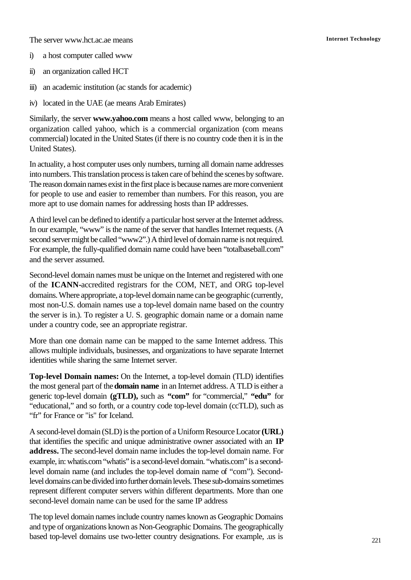The server www.hct.ac.ae means **Internet Technology**

- i) a host computer called www
- ii) an organization called HCT
- iii) an academic institution (ac stands for academic)
- iv) located in the UAE (ae means Arab Emirates)

Similarly, the server **www.yahoo.com** means a host called www, belonging to an organization called yahoo, which is a commercial organization (com means commercial) located in the United States (if there is no country code then it is in the United States).

In actuality, a host computer uses only numbers, turning all domain name addresses into numbers. This translation process is taken care of behind the scenes by software. The reason domain names exist in the first place is because names are more convenient for people to use and easier to remember than numbers. For this reason, you are more apt to use domain names for addressing hosts than IP addresses.

A third level can be defined to identify a particular host server at the Internet address. In our example, "www" is the name of the server that handles Internet requests. (A second server might be called "www2".) A third level of domain name is not required. For example, the fully-qualified domain name could have been "totalbaseball.com" and the server assumed.

Second-level domain names must be unique on the Internet and registered with one of the **ICANN-**accredited registrars for the COM, NET, and ORG top-level domains. Where appropriate, a top-level domain name can be geographic (currently, most non-U.S. domain names use a top-level domain name based on the country the server is in.). To register a U. S. geographic domain name or a domain name under a country code, see an appropriate registrar.

More than one domain name can be mapped to the same Internet address. This allows multiple individuals, businesses, and organizations to have separate Internet identities while sharing the same Internet server.

**Top-level Domain names:** On the Internet, a top-level domain (TLD) identifies the most general part of the **domain name** in an Internet address. A TLD is either a generic top-level domain **(gTLD),** such as **"com"** for "commercial," **"edu"** for "educational," and so forth, or a country code top-level domain (ccTLD), such as "fr" for France or "is" for Iceland.

A second-level domain (SLD) is the portion of a Uniform Resource Locator **(URL)** that identifies the specific and unique administrative owner associated with an **IP address.** The second-level domain name includes the top-level domain name. For example, in: whatis.com "whatis" is a second-level domain. "whatis.com" is a secondlevel domain name (and includes the top-level domain name of "com"). Secondlevel domains can be divided into further domain levels. These sub-domains sometimes represent different computer servers within different departments. More than one second-level domain name can be used for the same IP address

The top level domain names include country names known as Geographic Domains and type of organizations known as Non-Geographic Domains. The geographically based top-level domains use two-letter country designations. For example, .us is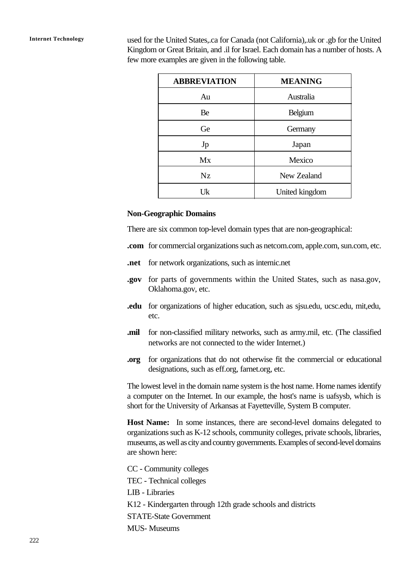**Internet Technology** used for the United States,.ca for Canada (not California),.uk or .gb for the United Kingdom or Great Britain, and .il for Israel. Each domain has a number of hosts. A few more examples are given in the following table.

| <b>ABBREVIATION</b> | <b>MEANING</b> |  |
|---------------------|----------------|--|
| Au                  | Australia      |  |
| Be                  | Belgium        |  |
| Ge                  | Germany        |  |
| Jp                  | Japan          |  |
| Mx                  | Mexico         |  |
| Nz                  | New Zealand    |  |
| Uk                  | United kingdom |  |

#### **Non-Geographic Domains**

There are six common top-level domain types that are non-geographical:

- **.com** for commercial organizations such as netcom.com, apple.com, sun.com, etc.
- **.net** for network organizations, such as internic.net
- **.gov** for parts of governments within the United States, such as nasa.gov, Oklahoma.gov, etc.
- **.edu** for organizations of higher education, such as sjsu.edu, ucsc.edu, mit,edu, etc.
- **.mil** for non-classified military networks, such as army.mil, etc. (The classified networks are not connected to the wider Internet.)
- **.org** for organizations that do not otherwise fit the commercial or educational designations, such as eff.org, farnet.org, etc.

The lowest level in the domain name system is the host name. Home names identify a computer on the Internet. In our example, the host's name is uafsysb, which is short for the University of Arkansas at Fayetteville, System B computer.

**Host Name:** In some instances, there are second-level domains delegated to organizations such as K-12 schools, community colleges, private schools, libraries, museums, as well as city and country governments. Examples of second-level domains are shown here:

CC - Community colleges TEC - Technical colleges LIB - Libraries K12 - Kindergarten through 12th grade schools and districts STATE-State Government MUS- Museums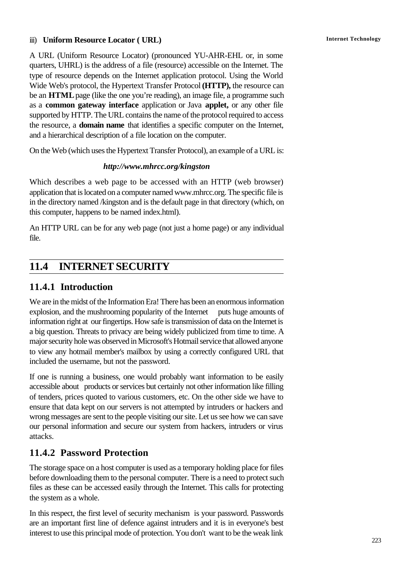### **Internet Technology** iii) **Uniform Resource Locator ( URL)**

A URL (Uniform Resource Locator) (pronounced YU-AHR-EHL or, in some quarters, UHRL) is the address of a file (resource) accessible on the Internet. The type of resource depends on the Internet application protocol. Using the World Wide Web's protocol, the Hypertext Transfer Protocol **(HTTP),** the resource can be an **HTML** page (like the one you're reading), an image file, a programme such as a **common gateway interface** application or Java **applet,** or any other file supported by HTTP. The URL contains the name of the protocol required to access the resource, a **domain name** that identifies a specific computer on the Internet, and a hierarchical description of a file location on the computer.

On the Web (which uses the Hypertext Transfer Protocol), an example of a URL is:

### *http://www.mhrcc.org/kingston*

Which describes a web page to be accessed with an HTTP (web browser) application that is located on a computer named www.mhrcc.org. The specific file is in the directory named /kingston and is the default page in that directory (which, on this computer, happens to be named index.html).

An HTTP URL can be for any web page (not just a home page) or any individual file.

# **11.4 INTERNET SECURITY**

### **11.4.1 Introduction**

We are in the midst of the Information Era! There has been an enormous information explosion, and the mushrooming popularity of the Internet puts huge amounts of information right at our fingertips. How safe is transmission of data on the Internet is a big question. Threats to privacy are being widely publicized from time to time. A major security hole was observed in Microsoft's Hotmail service that allowed anyone to view any hotmail member's mailbox by using a correctly configured URL that included the username, but not the password.

If one is running a business, one would probably want information to be easily accessible about products or services but certainly not other information like filling of tenders, prices quoted to various customers, etc. On the other side we have to ensure that data kept on our servers is not attempted by intruders or hackers and wrong messages are sent to the people visiting our site. Let us see how we can save our personal information and secure our system from hackers, intruders or virus attacks.

### **11.4.2 Password Protection**

The storage space on a host computer is used as a temporary holding place for files before downloading them to the personal computer. There is a need to protect such files as these can be accessed easily through the Internet. This calls for protecting the system as a whole.

In this respect, the first level of security mechanism is your password. Passwords are an important first line of defence against intruders and it is in everyone's best interest to use this principal mode of protection. You don't want to be the weak link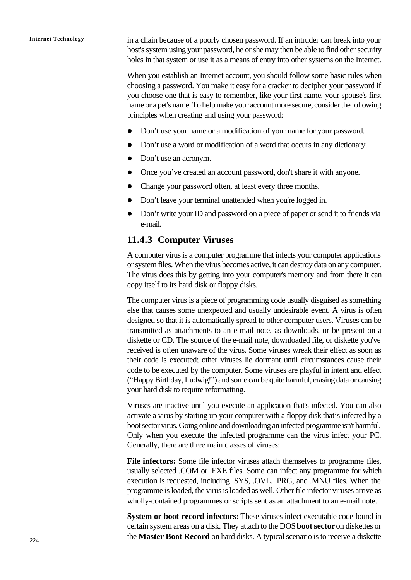**Internet Technology** in a chain because of a poorly chosen password. If an intruder can break into your host's system using your password, he or she may then be able to find other security holes in that system or use it as a means of entry into other systems on the Internet.

> When you establish an Internet account, you should follow some basic rules when choosing a password. You make it easy for a cracker to decipher your password if you choose one that is easy to remember, like your first name, your spouse's first name or a pet's name. To help make your account more secure, consider the following principles when creating and using your password:

- Don't use your name or a modification of your name for your password.
- Don't use a word or modification of a word that occurs in any dictionary.
- Don't use an acronym.
- Once you've created an account password, don't share it with anyone.
- Change your password often, at least every three months.
- Don't leave your terminal unattended when you're logged in.
- Don't write your ID and password on a piece of paper or send it to friends via e-mail.

### **11.4.3 Computer Viruses**

A computer virus is a computer programme that infects your computer applications or system files. When the virus becomes active, it can destroy data on any computer. The virus does this by getting into your computer's memory and from there it can copy itself to its hard disk or floppy disks.

The computer virus is a piece of programming code usually disguised as something else that causes some unexpected and usually undesirable event. A virus is often designed so that it is automatically spread to other computer users. Viruses can be transmitted as attachments to an e-mail note, as downloads, or be present on a diskette or CD. The source of the e-mail note, downloaded file, or diskette you've received is often unaware of the virus. Some viruses wreak their effect as soon as their code is executed; other viruses lie dormant until circumstances cause their code to be executed by the computer. Some viruses are playful in intent and effect ("Happy Birthday, Ludwig!") and some can be quite harmful, erasing data or causing your hard disk to require reformatting.

Viruses are inactive until you execute an application that's infected. You can also activate a virus by starting up your computer with a floppy disk that's infected by a boot sector virus. Going online and downloading an infected programme isn't harmful. Only when you execute the infected programme can the virus infect your PC. Generally, there are three main classes of viruses:

**File infectors:** Some file infector viruses attach themselves to programme files, usually selected .COM or .EXE files. Some can infect any programme for which execution is requested, including .SYS, .OVL, .PRG, and .MNU files. When the programme is loaded, the virus is loaded as well. Other file infector viruses arrive as wholly-contained programmes or scripts sent as an attachment to an e-mail note.

**System or boot-record infectors:** These viruses infect executable code found in certain system areas on a disk. They attach to the DOS **boot sector** on diskettes or the **Master Boot Record** on hard disks. A typical scenario is to receive a diskette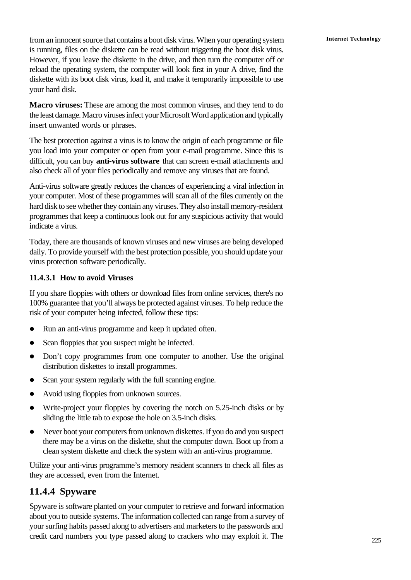**Internet Technology** from an innocent source that contains a boot disk virus. When your operating system is running, files on the diskette can be read without triggering the boot disk virus. However, if you leave the diskette in the drive, and then turn the computer off or reload the operating system, the computer will look first in your A drive, find the diskette with its boot disk virus, load it, and make it temporarily impossible to use your hard disk.

**Macro viruses:** These are among the most common viruses, and they tend to do the least damage. Macro viruses infect your Microsoft Word application and typically insert unwanted words or phrases.

The best protection against a virus is to know the origin of each programme or file you load into your computer or open from your e-mail programme. Since this is difficult, you can buy **anti-virus software** that can screen e-mail attachments and also check all of your files periodically and remove any viruses that are found.

Anti-virus software greatly reduces the chances of experiencing a viral infection in your computer. Most of these programmes will scan all of the files currently on the hard disk to see whether they contain any viruses. They also install memory-resident programmes that keep a continuous look out for any suspicious activity that would indicate a virus.

Today, there are thousands of known viruses and new viruses are being developed daily. To provide yourself with the best protection possible, you should update your virus protection software periodically.

### **11.4.3.1 How to avoid Viruses**

If you share floppies with others or download files from online services, there's no 100% guarantee that you'll always be protected against viruses. To help reduce the risk of your computer being infected, follow these tips:

- Run an anti-virus programme and keep it updated often.
- Scan floppies that you suspect might be infected.
- Don't copy programmes from one computer to another. Use the original distribution diskettes to install programmes.
- Scan your system regularly with the full scanning engine.
- Avoid using floppies from unknown sources.
- $\bullet$  Write-project your floppies by covering the notch on 5.25-inch disks or by sliding the little tab to expose the hole on 3.5-inch disks.
- Never boot your computers from unknown diskettes. If you do and you suspect there may be a virus on the diskette, shut the computer down. Boot up from a clean system diskette and check the system with an anti-virus programme.

Utilize your anti-virus programme's memory resident scanners to check all files as they are accessed, even from the Internet.

### **11.4.4 Spyware**

Spyware is software planted on your computer to retrieve and forward information about you to outside systems. The information collected can range from a survey of your surfing habits passed along to advertisers and marketers to the passwords and credit card numbers you type passed along to crackers who may exploit it. The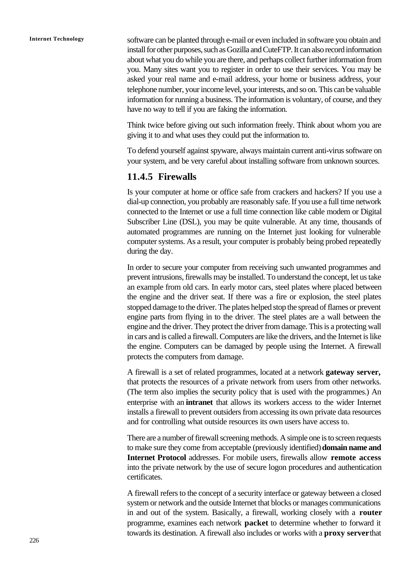**Internet Technology** software can be planted through e-mail or even included in software you obtain and install for other purposes, such as Gozilla and CuteFTP. It can also record information about what you do while you are there, and perhaps collect further information from you. Many sites want you to register in order to use their services. You may be asked your real name and e-mail address, your home or business address, your telephone number, your income level, your interests, and so on. This can be valuable information for running a business. The information is voluntary, of course, and they have no way to tell if you are faking the information.

> Think twice before giving out such information freely. Think about whom you are giving it to and what uses they could put the information to.

> To defend yourself against spyware, always maintain current anti-virus software on your system, and be very careful about installing software from unknown sources.

### **11.4.5 Firewalls**

Is your computer at home or office safe from crackers and hackers? If you use a dial-up connection, you probably are reasonably safe. If you use a full time network connected to the Internet or use a full time connection like cable modem or Digital Subscriber Line (DSL), you may be quite vulnerable. At any time, thousands of automated programmes are running on the Internet just looking for vulnerable computer systems. As a result, your computer is probably being probed repeatedly during the day.

In order to secure your computer from receiving such unwanted programmes and prevent intrusions, firewalls may be installed. To understand the concept, let us take an example from old cars. In early motor cars, steel plates where placed between the engine and the driver seat. If there was a fire or explosion, the steel plates stopped damage to the driver. The plates helped stop the spread of flames or prevent engine parts from flying in to the driver. The steel plates are a wall between the engine and the driver. They protect the driver from damage. This is a protecting wall in cars and is called a firewall. Computers are like the drivers, and the Internet is like the engine. Computers can be damaged by people using the Internet. A firewall protects the computers from damage.

A firewall is a set of related programmes, located at a network **gateway server,** that protects the resources of a private network from users from other networks. (The term also implies the security policy that is used with the programmes.) An enterprise with an **intranet** that allows its workers access to the wider Internet installs a firewall to prevent outsiders from accessing its own private data resources and for controlling what outside resources its own users have access to.

There are a number of firewall screening methods. A simple one is to screen requests to make sure they come from acceptable (previously identified) **domain name and Internet Protocol** addresses. For mobile users, firewalls allow **remote access** into the private network by the use of secure logon procedures and authentication certificates.

A firewall refers to the concept of a security interface or gateway between a closed system or network and the outside Internet that blocks or manages communications in and out of the system. Basically, a firewall, working closely with a **router** programme, examines each network **packet** to determine whether to forward it towards its destination. A firewall also includes or works with a **proxy server** that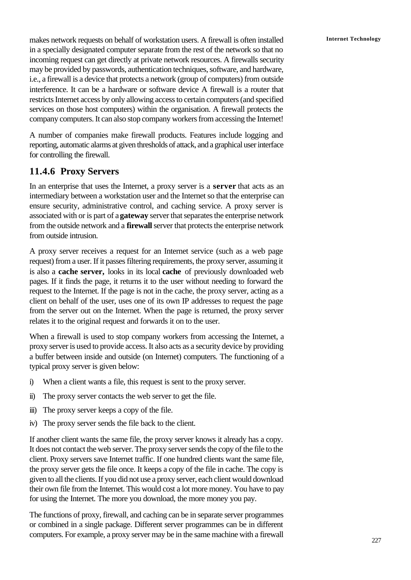makes network requests on behalf of workstation users. A firewall is often installed **Internet Technology** in a specially designated computer separate from the rest of the network so that no incoming request can get directly at private network resources. A firewalls security may be provided by passwords, authentication techniques, software, and hardware, i.e., a firewall is a device that protects a network (group of computers) from outside interference. It can be a hardware or software device A firewall is a router that restricts Internet access by only allowing access to certain computers (and specified services on those host computers) within the organisation. A firewall protects the company computers. It can also stop company workers from accessing the Internet!

A number of companies make firewall products. Features include logging and reporting, automatic alarms at given thresholds of attack, and a graphical user interface for controlling the firewall.

### **11.4.6 Proxy Servers**

In an enterprise that uses the Internet, a proxy server is a **server** that acts as an intermediary between a workstation user and the Internet so that the enterprise can ensure security, administrative control, and caching service. A proxy server is associated with or is part of a **gateway** server that separates the enterprise network from the outside network and a **firewall** server that protects the enterprise network from outside intrusion.

A proxy server receives a request for an Internet service (such as a web page request) from a user. If it passes filtering requirements, the proxy server, assuming it is also a **cache server,** looks in its local **cache** of previously downloaded web pages. If it finds the page, it returns it to the user without needing to forward the request to the Internet. If the page is not in the cache, the proxy server, acting as a client on behalf of the user, uses one of its own IP addresses to request the page from the server out on the Internet. When the page is returned, the proxy server relates it to the original request and forwards it on to the user.

When a firewall is used to stop company workers from accessing the Internet, a proxy server is used to provide access. It also acts as a security device by providing a buffer between inside and outside (on Internet) computers. The functioning of a typical proxy server is given below:

- i) When a client wants a file, this request is sent to the proxy server.
- ii) The proxy server contacts the web server to get the file.
- iii) The proxy server keeps a copy of the file.
- iv) The proxy server sends the file back to the client.

If another client wants the same file, the proxy server knows it already has a copy. It does not contact the web server. The proxy server sends the copy of the file to the client. Proxy servers save Internet traffic. If one hundred clients want the same file, the proxy server gets the file once. It keeps a copy of the file in cache. The copy is given to all the clients. If you did not use a proxy server, each client would download their own file from the Internet. This would cost a lot more money. You have to pay for using the Internet. The more you download, the more money you pay.

The functions of proxy, firewall, and caching can be in separate server programmes or combined in a single package. Different server programmes can be in different computers. For example, a proxy server may be in the same machine with a firewall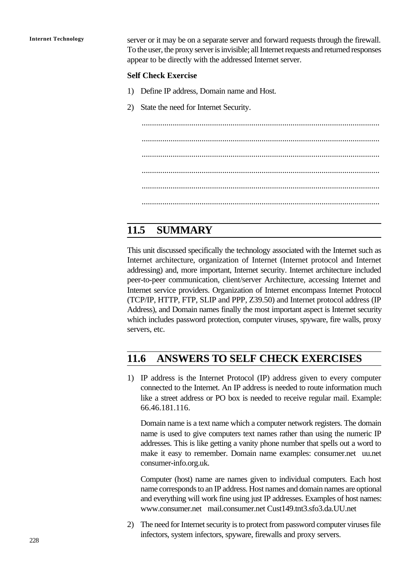**Internet Technology** server or it may be on a separate server and forward requests through the firewall. To the user, the proxy server is invisible; all Internet requests and returned responses appear to be directly with the addressed Internet server.

#### **Self Check Exercise**

- 1) Define IP address, Domain name and Host.
- 2) State the need for Internet Security.

................................................................................................................... ................................................................................................................... ................................................................................................................... ................................................................................................................... ................................................................................................................... ...................................................................................................................

# **11.5 SUMMARY**

This unit discussed specifically the technology associated with the Internet such as Internet architecture, organization of Internet (Internet protocol and Internet addressing) and, more important, Internet security. Internet architecture included peer-to-peer communication, client/server Architecture, accessing Internet and Internet service providers. Organization of Internet encompass Internet Protocol (TCP/IP, HTTP, FTP, SLIP and PPP, Z39.50) and Internet protocol address (IP Address), and Domain names finally the most important aspect is Internet security which includes password protection, computer viruses, spyware, fire walls, proxy servers, etc.

### **11.6 ANSWERS TO SELF CHECK EXERCISES**

1) IP address is the Internet Protocol (IP) address given to every computer connected to the Internet. An IP address is needed to route information much like a street address or PO box is needed to receive regular mail. Example: 66.46.181.116.

Domain name is a text name which a computer network registers. The domain name is used to give computers text names rather than using the numeric IP addresses. This is like getting a vanity phone number that spells out a word to make it easy to remember. Domain name examples: consumer.net uu.net consumer-info.org.uk.

Computer (host) name are names given to individual computers. Each host name corresponds to an IP address. Host names and domain names are optional and everything will work fine using just IP addresses. Examples of host names: www.consumer.net mail.consumer.net Cust149.tnt3.sfo3.da.UU.net

2) The need for Internet security is to protect from password computer viruses file infectors, system infectors, spyware, firewalls and proxy servers.